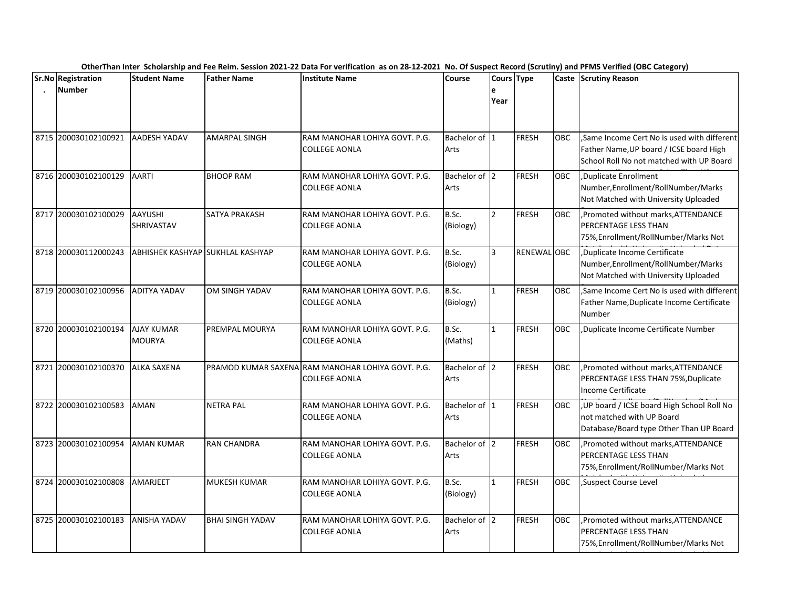|      | <b>Sr.No Registration</b> | <b>Student Name</b>                | <b>Father Name</b>      | <b>Institute Name</b>                                 | <b>Course</b>         | Cours Type    |              |            | Caste Scrutiny Reason                                                                                                              |
|------|---------------------------|------------------------------------|-------------------------|-------------------------------------------------------|-----------------------|---------------|--------------|------------|------------------------------------------------------------------------------------------------------------------------------------|
|      | <b>Number</b>             |                                    |                         |                                                       |                       | е<br>Year     |              |            |                                                                                                                                    |
|      | 8715 200030102100921      | AADESH YADAV                       | <b>AMARPAL SINGH</b>    | RAM MANOHAR LOHIYA GOVT. P.G.<br>COLLEGE AONLA        | Bachelor of 1<br>Arts |               | <b>FRESH</b> | <b>OBC</b> | ,Same Income Cert No is used with different<br>Father Name, UP board / ICSE board High<br>School Roll No not matched with UP Board |
|      | 8716 200030102100129      | AARTI                              | <b>BHOOP RAM</b>        | RAM MANOHAR LOHIYA GOVT. P.G.<br>COLLEGE AONLA        | Bachelor of 2<br>Arts |               | <b>FRESH</b> | <b>OBC</b> | Duplicate Enrollment<br>Number, Enrollment/RollNumber/Marks<br>Not Matched with University Uploaded                                |
|      | 8717 200030102100029      | <b>AAYUSHI</b><br>SHRIVASTAV       | SATYA PRAKASH           | RAM MANOHAR LOHIYA GOVT. P.G.<br><b>COLLEGE AONLA</b> | B.Sc.<br>(Biology)    | $\mathcal{P}$ | <b>FRESH</b> | <b>OBC</b> | ,Promoted without marks, ATTENDANCE<br><b>PERCENTAGE LESS THAN</b><br>75%, Enrollment/RollNumber/Marks Not                         |
|      | 8718 200030112000243      | ABHISHEK KASHYAP SUKHLAL KASHYAP   |                         | RAM MANOHAR LOHIYA GOVT. P.G.<br><b>COLLEGE AONLA</b> | B.Sc.<br>(Biology)    | 3             | RENEWAL OBC  |            | ,Duplicate Income Certificate<br>Number, Enrollment/RollNumber/Marks<br>Not Matched with University Uploaded                       |
|      | 8719 200030102100956      | <b>ADITYA YADAV</b>                | OM SINGH YADAV          | RAM MANOHAR LOHIYA GOVT. P.G.<br><b>COLLEGE AONLA</b> | B.Sc.<br>(Biology)    | $\mathbf{1}$  | <b>FRESH</b> | <b>OBC</b> | Same Income Cert No is used with different<br>Father Name, Duplicate Income Certificate<br>Number                                  |
|      | 8720 200030102100194      | <b>AJAY KUMAR</b><br><b>MOURYA</b> | <b>PREMPAL MOURYA</b>   | RAM MANOHAR LOHIYA GOVT. P.G.<br><b>COLLEGE AONLA</b> | B.Sc.<br>(Maths)      | $\mathbf{1}$  | <b>FRESH</b> | OBC        | ,Duplicate Income Certificate Number                                                                                               |
| 8721 | 200030102100370           | <b>ALKA SAXENA</b>                 | PRAMOD KUMAR SAXENA     | RAM MANOHAR LOHIYA GOVT. P.G.<br><b>COLLEGE AONLA</b> | Bachelor of 2<br>Arts |               | <b>FRESH</b> | OBC        | ,Promoted without marks, ATTENDANCE<br>PERCENTAGE LESS THAN 75%, Duplicate<br>Income Certificate                                   |
|      | 8722 200030102100583      | <b>AMAN</b>                        | <b>NETRA PAL</b>        | RAM MANOHAR LOHIYA GOVT. P.G.<br>COLLEGE AONLA        | Bachelor of 1<br>Arts |               | <b>FRESH</b> | <b>OBC</b> | UP board / ICSE board High School Roll No<br>not matched with UP Board<br>Database/Board type Other Than UP Board                  |
|      | 8723 200030102100954      | <b>AMAN KUMAR</b>                  | <b>RAN CHANDRA</b>      | RAM MANOHAR LOHIYA GOVT. P.G.<br><b>COLLEGE AONLA</b> | Bachelor of 2<br>Arts |               | <b>FRESH</b> | OBC        | ,Promoted without marks, ATTENDANCE<br>PERCENTAGE LESS THAN<br>75%, Enrollment/RollNumber/Marks Not                                |
|      | 8724 200030102100808      | AMARJEET                           | MUKESH KUMAR            | RAM MANOHAR LOHIYA GOVT. P.G.<br><b>COLLEGE AONLA</b> | B.Sc.<br>(Biology)    | $\mathbf{1}$  | <b>FRESH</b> | <b>OBC</b> | ,Suspect Course Level                                                                                                              |
|      | 8725 200030102100183      | <b>ANISHA YADAV</b>                | <b>BHAI SINGH YADAV</b> | RAM MANOHAR LOHIYA GOVT. P.G.<br><b>COLLEGE AONLA</b> | Bachelor of 2<br>Arts |               | <b>FRESH</b> | <b>OBC</b> | , Promoted without marks, ATTENDANCE<br><b>PERCENTAGE LESS THAN</b><br>75%, Enrollment/RollNumber/Marks Not                        |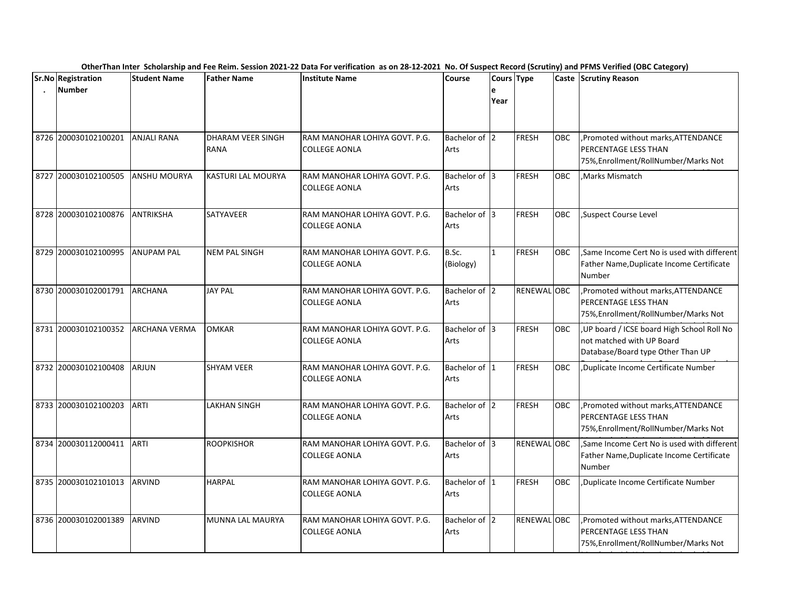| <b>Sr.No Registration</b>    | <b>Student Name</b>  | <b>Father Name</b>               | <b>Institute Name</b>                          | <b>Course</b>         | Cours Type   |              |            | --- <i>-</i> ------<br>Caste Scrutiny Reason                                                                |
|------------------------------|----------------------|----------------------------------|------------------------------------------------|-----------------------|--------------|--------------|------------|-------------------------------------------------------------------------------------------------------------|
| <b>Number</b>                |                      |                                  |                                                |                       | e<br>Year    |              |            |                                                                                                             |
| 8726 200030102100201         | <b>ANJALI RANA</b>   | <b>DHARAM VEER SINGH</b><br>RANA | RAM MANOHAR LOHIYA GOVT. P.G.<br>COLLEGE AONLA | Bachelor of 2<br>Arts |              | <b>FRESH</b> | OBC        | Promoted without marks, ATTENDANCE<br>PERCENTAGE LESS THAN<br>75%, Enrollment/RollNumber/Marks Not          |
| 8727 200030102100505         | ANSHU MOURYA         | KASTURI LAL MOURYA               | RAM MANOHAR LOHIYA GOVT. P.G.<br>COLLEGE AONLA | Bachelor of 3<br>Arts |              | <b>FRESH</b> | OBC        | Marks Mismatch                                                                                              |
| 8728 200030102100876         | <b>ANTRIKSHA</b>     | SATYAVEER                        | RAM MANOHAR LOHIYA GOVT. P.G.<br>COLLEGE AONLA | Bachelor of 3<br>Arts |              | <b>FRESH</b> | OBC        | Suspect Course Level                                                                                        |
| 8729 200030102100995         | <b>ANUPAM PAL</b>    | <b>NEM PAL SINGH</b>             | RAM MANOHAR LOHIYA GOVT. P.G.<br>COLLEGE AONLA | B.Sc.<br>(Biology)    | $\mathbf{1}$ | <b>FRESH</b> | OBC        | Same Income Cert No is used with different<br>Father Name, Duplicate Income Certificate<br>Number           |
| 8730 200030102001791 ARCHANA |                      | <b>JAY PAL</b>                   | RAM MANOHAR LOHIYA GOVT. P.G.<br>COLLEGE AONLA | Bachelor of 2<br>Arts |              | RENEWAL OBC  |            | Promoted without marks, ATTENDANCE<br>PERCENTAGE LESS THAN<br>75%, Enrollment/RollNumber/Marks Not          |
| 8731 200030102100352         | <b>ARCHANA VERMA</b> | <b>OMKAR</b>                     | RAM MANOHAR LOHIYA GOVT. P.G.<br>COLLEGE AONLA | Bachelor of 3<br>Arts |              | <b>FRESH</b> | OBC        | UP board / ICSE board High School Roll No<br>not matched with UP Board<br>Database/Board type Other Than UP |
| 8732 200030102100408         | <b>ARJUN</b>         | <b>SHYAM VEER</b>                | RAM MANOHAR LOHIYA GOVT. P.G.<br>COLLEGE AONLA | Bachelor of 1<br>Arts |              | <b>FRESH</b> | <b>OBC</b> | ,Duplicate Income Certificate Number                                                                        |
| 8733 200030102100203         | ARTI                 | <b>LAKHAN SINGH</b>              | RAM MANOHAR LOHIYA GOVT. P.G.<br>COLLEGE AONLA | Bachelor of 2<br>Arts |              | <b>FRESH</b> | OBC        | , Promoted without marks, ATTENDANCE<br>PERCENTAGE LESS THAN<br>75%, Enrollment/RollNumber/Marks Not        |
| 8734 200030112000411         | <b>ARTI</b>          | <b>ROOPKISHOR</b>                | RAM MANOHAR LOHIYA GOVT. P.G.<br>COLLEGE AONLA | Bachelor of 3<br>Arts |              | RENEWAL OBC  |            | Same Income Cert No is used with different<br>Father Name, Duplicate Income Certificate<br>Number           |
| 8735 200030102101013         | <b>ARVIND</b>        | HARPAL                           | RAM MANOHAR LOHIYA GOVT. P.G.<br>COLLEGE AONLA | Bachelor of 1<br>Arts |              | <b>FRESH</b> | <b>OBC</b> | ,Duplicate Income Certificate Number                                                                        |
| 8736 200030102001389         | <b>ARVIND</b>        | MUNNA LAL MAURYA                 | RAM MANOHAR LOHIYA GOVT. P.G.<br>COLLEGE AONLA | Bachelor of 2<br>Arts |              | RENEWAL OBC  |            | ,Promoted without marks, ATTENDANCE<br>PERCENTAGE LESS THAN<br>75%, Enrollment/RollNumber/Marks Not         |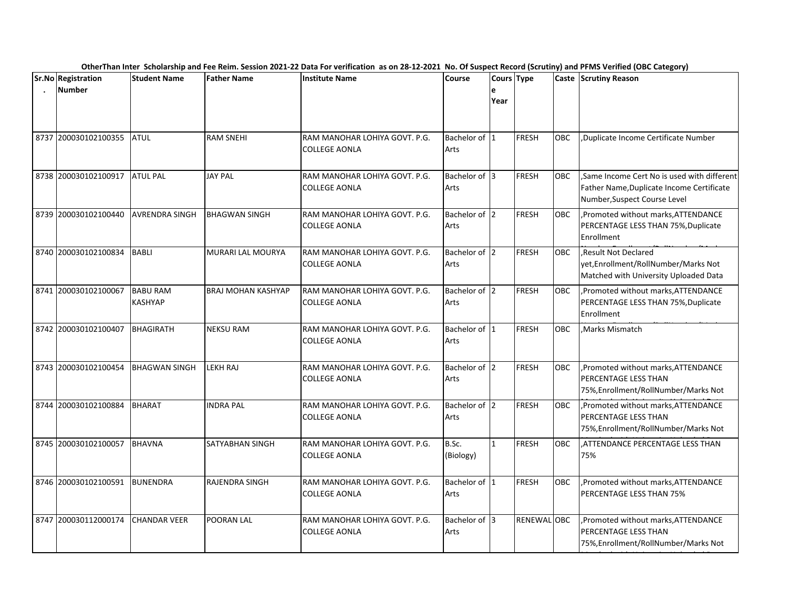| <b>Sr.No Registration</b> | <b>Student Name</b>               | <b>Father Name</b>        | <b>Institute Name</b>                                 | <b>Course</b>         | Cours Type   |              |            | Caste Scrutiny Reason                                                                                                   |
|---------------------------|-----------------------------------|---------------------------|-------------------------------------------------------|-----------------------|--------------|--------------|------------|-------------------------------------------------------------------------------------------------------------------------|
| <b>Number</b>             |                                   |                           |                                                       |                       | e<br>Year    |              |            |                                                                                                                         |
| 8737 200030102100355      | <b>ATUL</b>                       | <b>RAM SNEHI</b>          | RAM MANOHAR LOHIYA GOVT. P.G.<br>COLLEGE AONLA        | Bachelor of 1<br>Arts |              | <b>FRESH</b> | OBC        | Duplicate Income Certificate Number                                                                                     |
| 8738 200030102100917      | <b>ATUL PAL</b>                   | <b>JAY PAL</b>            | RAM MANOHAR LOHIYA GOVT. P.G.<br>COLLEGE AONLA        | Bachelor of 3<br>Arts |              | <b>FRESH</b> | <b>OBC</b> | Same Income Cert No is used with different<br>Father Name, Duplicate Income Certificate<br>Number, Suspect Course Level |
| 8739 200030102100440      | <b>AVRENDRA SINGH</b>             | <b>BHAGWAN SINGH</b>      | RAM MANOHAR LOHIYA GOVT. P.G.<br><b>COLLEGE AONLA</b> | Bachelor of 2<br>Arts |              | <b>FRESH</b> | <b>OBC</b> | Promoted without marks, ATTENDANCE<br>PERCENTAGE LESS THAN 75%, Duplicate<br>Enrollment                                 |
| 8740 200030102100834      | <b>BABLI</b>                      | MURARI LAL MOURYA         | RAM MANOHAR LOHIYA GOVT. P.G.<br><b>COLLEGE AONLA</b> | Bachelor of 2<br>Arts |              | <b>FRESH</b> | OBC        | Result Not Declared<br>yet, Enrollment/RollNumber/Marks Not<br>Matched with University Uploaded Data                    |
| 8741 200030102100067      | <b>BABU RAM</b><br><b>KASHYAP</b> | <b>BRAJ MOHAN KASHYAP</b> | RAM MANOHAR LOHIYA GOVT. P.G.<br><b>COLLEGE AONLA</b> | Bachelor of 2<br>Arts |              | <b>FRESH</b> | <b>OBC</b> | , Promoted without marks, ATTENDANCE<br>PERCENTAGE LESS THAN 75%, Duplicate<br>Enrollment                               |
| 8742 200030102100407      | <b>BHAGIRATH</b>                  | <b>NEKSU RAM</b>          | RAM MANOHAR LOHIYA GOVT. P.G.<br><b>COLLEGE AONLA</b> | Bachelor of 1<br>Arts |              | <b>FRESH</b> | <b>OBC</b> | Marks Mismatch                                                                                                          |
| 8743 200030102100454      | <b>BHAGWAN SINGH</b>              | LEKH RAJ                  | RAM MANOHAR LOHIYA GOVT. P.G.<br><b>COLLEGE AONLA</b> | Bachelor of 2<br>Arts |              | <b>FRESH</b> | OBC        | , Promoted without marks, ATTENDANCE<br><b>PERCENTAGE LESS THAN</b><br>75%, Enrollment/RollNumber/Marks Not             |
| 8744 200030102100884      | <b>BHARAT</b>                     | <b>INDRA PAL</b>          | RAM MANOHAR LOHIYA GOVT. P.G.<br><b>COLLEGE AONLA</b> | Bachelor of 2<br>Arts |              | <b>FRESH</b> | <b>OBC</b> | ,Promoted without marks, ATTENDANCE<br>PERCENTAGE LESS THAN<br>75%, Enrollment/RollNumber/Marks Not                     |
| 8745 200030102100057      | <b>BHAVNA</b>                     | SATYABHAN SINGH           | RAM MANOHAR LOHIYA GOVT. P.G.<br><b>COLLEGE AONLA</b> | B.Sc.<br>(Biology)    | $\mathbf{1}$ | <b>FRESH</b> | <b>OBC</b> | ,ATTENDANCE PERCENTAGE LESS THAN<br>75%                                                                                 |
| 8746 200030102100591      | <b>BUNENDRA</b>                   | RAJENDRA SINGH            | RAM MANOHAR LOHIYA GOVT. P.G.<br><b>COLLEGE AONLA</b> | Bachelor of 1<br>Arts |              | <b>FRESH</b> | <b>OBC</b> | Promoted without marks, ATTENDANCE<br><b>PERCENTAGE LESS THAN 75%</b>                                                   |
| 8747 200030112000174      | <b>CHANDAR VEER</b>               | POORAN LAL                | RAM MANOHAR LOHIYA GOVT. P.G.<br><b>COLLEGE AONLA</b> | Bachelor of 3<br>Arts |              | RENEWAL OBC  |            | Promoted without marks, ATTENDANCE<br><b>PERCENTAGE LESS THAN</b><br>75%, Enrollment/RollNumber/Marks Not               |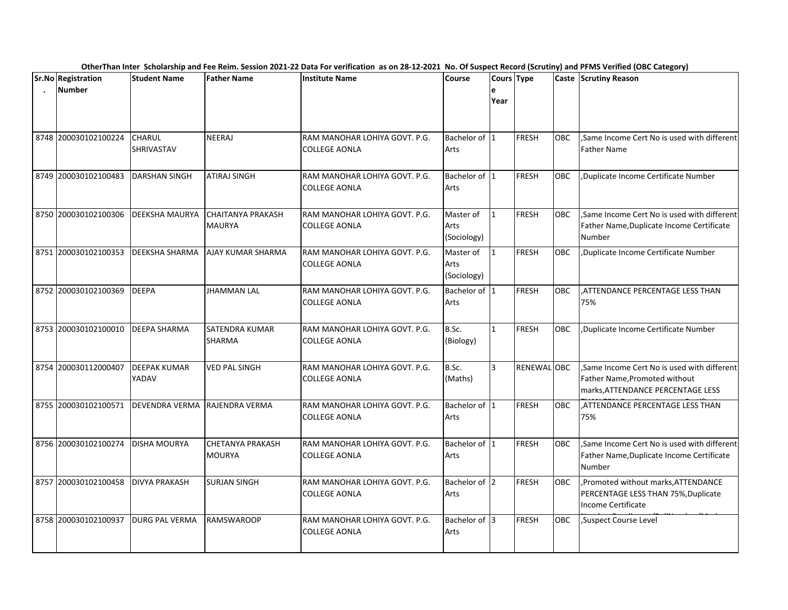|                                     |                              |                                           | OtherThan Inter Scholarship and Fee Reim. Session 2021-22 Data For verification as on 28-12-2021 No. Of Suspect Record (Scrutiny) and PFMS Verified (OBC Category) |                                  |              |              |            |                                                                                                                  |
|-------------------------------------|------------------------------|-------------------------------------------|--------------------------------------------------------------------------------------------------------------------------------------------------------------------|----------------------------------|--------------|--------------|------------|------------------------------------------------------------------------------------------------------------------|
| Sr.No Registration<br><b>Number</b> | <b>Student Name</b>          | <b>Father Name</b>                        | <b>Institute Name</b>                                                                                                                                              | Course                           | e<br>Year    | Cours Type   |            | <b>Caste Scrutiny Reason</b>                                                                                     |
| 8748 200030102100224                | CHARUL<br>SHRIVASTAV         | <b>NEERAJ</b>                             | RAM MANOHAR LOHIYA GOVT. P.G.<br><b>COLLEGE AONLA</b>                                                                                                              | Bachelor of 1<br>Arts            |              | FRESH        | OBC        | Same Income Cert No is used with different<br><b>Father Name</b>                                                 |
| 8749 200030102100483                | <b>DARSHAN SINGH</b>         | <b>ATIRAJ SINGH</b>                       | RAM MANOHAR LOHIYA GOVT. P.G.<br><b>COLLEGE AONLA</b>                                                                                                              | Bachelor of 1<br>Arts            |              | FRESH        | OBC        | Duplicate Income Certificate Number,                                                                             |
| 8750 200030102100306                | DEEKSHA MAURYA               | <b>CHAITANYA PRAKASH</b><br><b>MAURYA</b> | RAM MANOHAR LOHIYA GOVT. P.G.<br><b>COLLEGE AONLA</b>                                                                                                              | Master of<br>Arts<br>(Sociology) | $\mathbf{1}$ | FRESH        | OBC        | Same Income Cert No is used with different<br>Father Name, Duplicate Income Certificate<br><b>Number</b>         |
| 8751 200030102100353                | DEEKSHA SHARMA               | AJAY KUMAR SHARMA                         | RAM MANOHAR LOHIYA GOVT. P.G.<br><b>COLLEGE AONLA</b>                                                                                                              | Master of<br>Arts<br>(Sociology) | $\mathbf{1}$ | <b>FRESH</b> | OBC        | ,Duplicate Income Certificate Number                                                                             |
| 8752 200030102100369                | <b>DEEPA</b>                 | <b>JHAMMAN LAL</b>                        | RAM MANOHAR LOHIYA GOVT. P.G.<br><b>COLLEGE AONLA</b>                                                                                                              | Bachelor of 1<br>Arts            |              | FRESH        | OBC        | ATTENDANCE PERCENTAGE LESS THAN,<br>75%                                                                          |
| 8753 200030102100010                | <b>DEEPA SHARMA</b>          | <b>SATENDRA KUMAR</b><br><b>SHARMA</b>    | RAM MANOHAR LOHIYA GOVT. P.G.<br><b>COLLEGE AONLA</b>                                                                                                              | B.Sc.<br>(Biology)               | $\mathbf{1}$ | FRESH        | <b>OBC</b> | Duplicate Income Certificate Number                                                                              |
| 8754 200030112000407                | <b>DEEPAK KUMAR</b><br>YADAV | <b>VED PAL SINGH</b>                      | RAM MANOHAR LOHIYA GOVT. P.G.<br><b>COLLEGE AONLA</b>                                                                                                              | B.Sc.<br>(Maths)                 | 3            | RENEWAL OBC  |            | Same Income Cert No is used with different<br>Father Name, Promoted without<br>marks, ATTENDANCE PERCENTAGE LESS |
| 8755 200030102100571                | <b>DEVENDRA VERMA</b>        | RAJENDRA VERMA                            | RAM MANOHAR LOHIYA GOVT. P.G.<br><b>COLLEGE AONLA</b>                                                                                                              | Bachelor of 1<br>Arts            |              | FRESH        | <b>OBC</b> | ,ATTENDANCE PERCENTAGE LESS THAN<br>75%                                                                          |
| 8756 200030102100274                | <b>DISHA MOURYA</b>          | <b>CHETANYA PRAKASH</b><br><b>MOURYA</b>  | RAM MANOHAR LOHIYA GOVT. P.G.<br>COLLEGE AONLA                                                                                                                     | Bachelor of 1<br>Arts            |              | FRESH        | <b>OBC</b> | ,Same Income Cert No is used with different<br>Father Name, Duplicate Income Certificate<br>Number               |
| 8757 200030102100458                | <b>DIVYA PRAKASH</b>         | <b>SURJAN SINGH</b>                       | RAM MANOHAR LOHIYA GOVT. P.G.<br><b>COLLEGE AONLA</b>                                                                                                              | Bachelor of 2<br>Arts            |              | FRESH        | OBC        | , Promoted without marks, ATTENDANCE<br>PERCENTAGE LESS THAN 75%, Duplicate<br>Income Certificate                |
| 8758 200030102100937                | <b>DURG PAL VERMA</b>        | <b>RAMSWAROOP</b>                         | RAM MANOHAR LOHIYA GOVT. P.G.<br><b>COLLEGE AONLA</b>                                                                                                              | Bachelor of 3<br>Arts            |              | FRESH        | <b>OBC</b> | Suspect Course Level                                                                                             |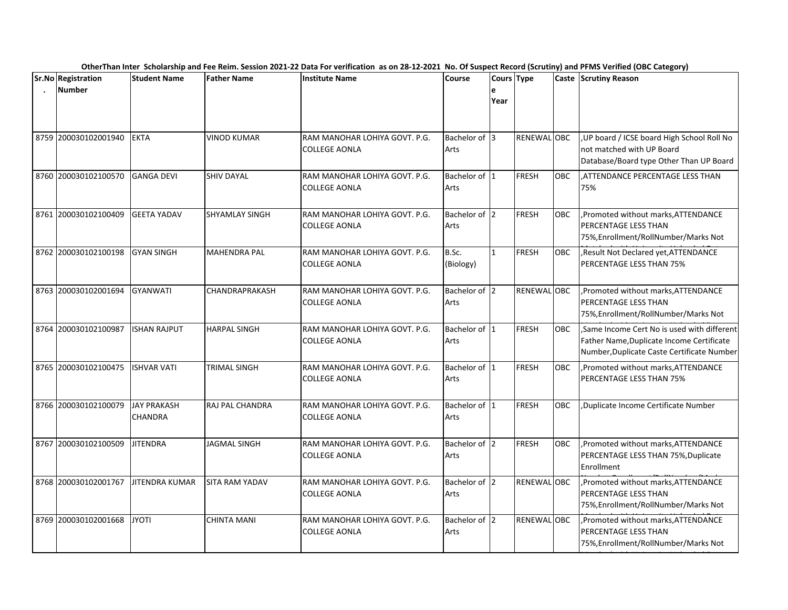| Sr.No Registration   | <b>Student Name</b>           | <b>Father Name</b>     | <b>Institute Name</b>                                 | <b>Course</b>         | Cours Type   |              |            | Caste Scrutiny Reason                                                                                                                 |
|----------------------|-------------------------------|------------------------|-------------------------------------------------------|-----------------------|--------------|--------------|------------|---------------------------------------------------------------------------------------------------------------------------------------|
| <b>Number</b>        |                               |                        |                                                       |                       | е<br>Year    |              |            |                                                                                                                                       |
|                      |                               |                        |                                                       |                       |              |              |            |                                                                                                                                       |
| 8759 200030102001940 | <b>EKTA</b>                   | <b>VINOD KUMAR</b>     | RAM MANOHAR LOHIYA GOVT. P.G.                         | Bachelor of 3         |              | RENEWAL OBC  |            | UP board / ICSE board High School Roll No                                                                                             |
|                      |                               |                        | COLLEGE AONLA                                         | Arts                  |              |              |            | not matched with UP Board<br>Database/Board type Other Than UP Board                                                                  |
| 8760 200030102100570 | <b>GANGA DEVI</b>             | <b>SHIV DAYAL</b>      | RAM MANOHAR LOHIYA GOVT. P.G.<br>COLLEGE AONLA        | Bachelor of 1<br>Arts |              | <b>FRESH</b> | <b>OBC</b> | .ATTENDANCE PERCENTAGE LESS THAN<br>75%                                                                                               |
| 8761 200030102100409 | <b>GEETA YADAV</b>            | <b>SHYAMLAY SINGH</b>  | RAM MANOHAR LOHIYA GOVT. P.G.<br><b>COLLEGE AONLA</b> | Bachelor of 2<br>Arts |              | <b>FRESH</b> | <b>OBC</b> | , Promoted without marks, ATTENDANCE<br><b>PERCENTAGE LESS THAN</b><br>75%, Enrollment/RollNumber/Marks Not                           |
| 8762 200030102100198 | <b>GYAN SINGH</b>             | <b>MAHENDRA PAL</b>    | RAM MANOHAR LOHIYA GOVT. P.G.<br><b>COLLEGE AONLA</b> | B.Sc.<br>(Biology)    | $\mathbf{1}$ | <b>FRESH</b> | OBC        | , Result Not Declared yet, ATTENDANCE<br><b>PERCENTAGE LESS THAN 75%</b>                                                              |
| 8763 200030102001694 | <b>GYANWATI</b>               | CHANDRAPRAKASH         | RAM MANOHAR LOHIYA GOVT. P.G.<br><b>COLLEGE AONLA</b> | Bachelor of 2<br>Arts |              | RENEWAL OBC  |            | ,Promoted without marks, ATTENDANCE<br>PERCENTAGE LESS THAN<br>75%, Enrollment/RollNumber/Marks Not                                   |
| 8764 200030102100987 | <b>ISHAN RAJPUT</b>           | <b>HARPAL SINGH</b>    | RAM MANOHAR LOHIYA GOVT. P.G.<br><b>COLLEGE AONLA</b> | Bachelor of 1<br>Arts |              | <b>FRESH</b> | <b>OBC</b> | Same Income Cert No is used with different<br>Father Name, Duplicate Income Certificate<br>Number, Duplicate Caste Certificate Number |
| 8765 200030102100475 | <b>ISHVAR VATI</b>            | TRIMAL SINGH           | RAM MANOHAR LOHIYA GOVT. P.G.<br><b>COLLEGE AONLA</b> | Bachelor of 1<br>Arts |              | <b>FRESH</b> | OBC        | Promoted without marks, ATTENDANCE<br><b>PERCENTAGE LESS THAN 75%</b>                                                                 |
| 8766 200030102100079 | <b>JAY PRAKASH</b><br>CHANDRA | <b>RAJ PAL CHANDRA</b> | RAM MANOHAR LOHIYA GOVT. P.G.<br><b>COLLEGE AONLA</b> | Bachelor of 1<br>Arts |              | <b>FRESH</b> | <b>OBC</b> | Duplicate Income Certificate Number                                                                                                   |
| 8767 200030102100509 | <b>JITENDRA</b>               | JAGMAL SINGH           | RAM MANOHAR LOHIYA GOVT. P.G.<br><b>COLLEGE AONLA</b> | Bachelor of 2<br>Arts |              | <b>FRESH</b> | OBC        | , Promoted without marks, ATTENDANCE<br>PERCENTAGE LESS THAN 75%, Duplicate<br>Enrollment                                             |
| 8768 200030102001767 | JITENDRA KUMAR                | <b>SITA RAM YADAV</b>  | RAM MANOHAR LOHIYA GOVT. P.G.<br><b>COLLEGE AONLA</b> | Bachelor of 2<br>Arts |              | RENEWAL OBC  |            | , Promoted without marks, ATTENDANCE<br><b>PERCENTAGE LESS THAN</b><br>75%, Enrollment/RollNumber/Marks Not                           |
| 8769 200030102001668 | <b>JYOTI</b>                  | CHINTA MANI            | RAM MANOHAR LOHIYA GOVT. P.G.<br><b>COLLEGE AONLA</b> | Bachelor of 2<br>Arts |              | RENEWAL OBC  |            | ,Promoted without marks, ATTENDANCE<br><b>PERCENTAGE LESS THAN</b><br>75%, Enrollment/RollNumber/Marks Not                            |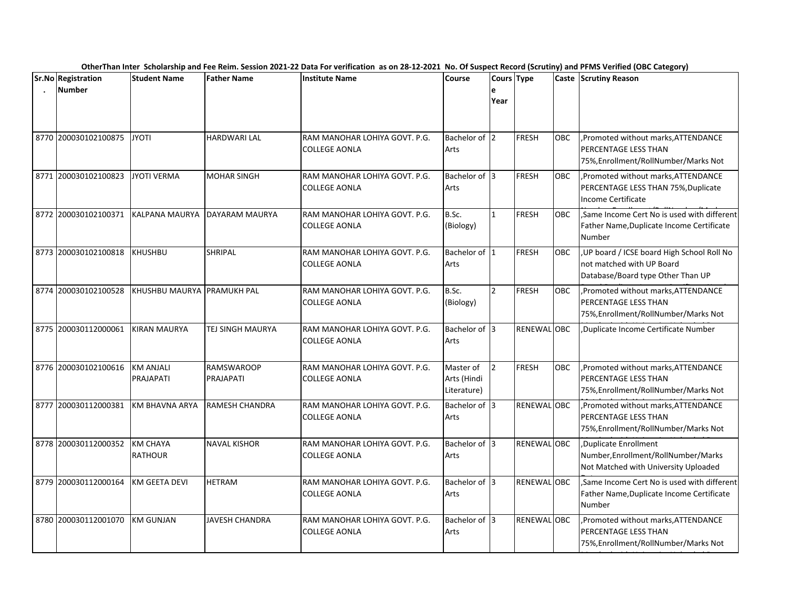| <b>Sr.No Registration</b> | <b>Student Name</b>               | <b>Father Name</b>             | <b>Institute Name</b>                                 | <b>Course</b>                           | Cours Type     |              |            | Caste Scrutiny Reason                                                                                       |
|---------------------------|-----------------------------------|--------------------------------|-------------------------------------------------------|-----------------------------------------|----------------|--------------|------------|-------------------------------------------------------------------------------------------------------------|
| <b>Number</b>             |                                   |                                |                                                       |                                         | е<br>Year      |              |            |                                                                                                             |
| 8770 200030102100875      | <b>JYOTI</b>                      | HARDWARI LAL                   | RAM MANOHAR LOHIYA GOVT. P.G.<br>COLLEGE AONLA        | Bachelor of 2<br>Arts                   |                | <b>FRESH</b> | OBC        | , Promoted without marks, ATTENDANCE<br>PERCENTAGE LESS THAN<br>75%, Enrollment/RollNumber/Marks Not        |
| 8771 200030102100823      | <b>JYOTI VERMA</b>                | <b>MOHAR SINGH</b>             | RAM MANOHAR LOHIYA GOVT. P.G.<br>COLLEGE AONLA        | Bachelor of 3<br>Arts                   |                | <b>FRESH</b> | <b>OBC</b> | ,Promoted without marks, ATTENDANCE<br>PERCENTAGE LESS THAN 75%, Duplicate<br>Income Certificate            |
| 8772 200030102100371      | KALPANA MAURYA                    | DAYARAM MAURYA                 | RAM MANOHAR LOHIYA GOVT. P.G.<br><b>COLLEGE AONLA</b> | B.Sc.<br>(Biology)                      | $\mathbf{1}$   | <b>FRESH</b> | <b>OBC</b> | Same Income Cert No is used with different<br>Father Name, Duplicate Income Certificate<br><b>Number</b>    |
| 8773 200030102100818      | <b>KHUSHBU</b>                    | SHRIPAL                        | RAM MANOHAR LOHIYA GOVT. P.G.<br><b>COLLEGE AONLA</b> | Bachelor of 1<br>Arts                   |                | <b>FRESH</b> | OBC        | UP board / ICSE board High School Roll No<br>not matched with UP Board<br>Database/Board type Other Than UP |
| 8774 200030102100528      | KHUSHBU MAURYA PRAMUKH PAL        |                                | RAM MANOHAR LOHIYA GOVT. P.G.<br><b>COLLEGE AONLA</b> | B.Sc.<br>(Biology)                      | $\mathcal{L}$  | <b>FRESH</b> | <b>OBC</b> | ,Promoted without marks, ATTENDANCE<br>PERCENTAGE LESS THAN<br>75%, Enrollment/RollNumber/Marks Not         |
| 8775 200030112000061      | <b>KIRAN MAURYA</b>               | <b>TEJ SINGH MAURYA</b>        | RAM MANOHAR LOHIYA GOVT. P.G.<br><b>COLLEGE AONLA</b> | Bachelor of 3<br>Arts                   |                | RENEWAL OBC  |            | Duplicate Income Certificate Number,                                                                        |
| 8776 200030102100616      | <b>KM ANJALI</b><br>PRAJAPATI     | <b>RAMSWAROOP</b><br>PRAJAPATI | RAM MANOHAR LOHIYA GOVT. P.G.<br><b>COLLEGE AONLA</b> | Master of<br>Arts (Hindi<br>Literature) | $\overline{2}$ | <b>FRESH</b> | OBC        | , Promoted without marks, ATTENDANCE<br><b>PERCENTAGE LESS THAN</b><br>75%, Enrollment/RollNumber/Marks Not |
| 8777 200030112000381      | KM BHAVNA ARYA                    | RAMESH CHANDRA                 | RAM MANOHAR LOHIYA GOVT. P.G.<br><b>COLLEGE AONLA</b> | Bachelor of 3<br>Arts                   |                | RENEWAL OBC  |            | Promoted without marks, ATTENDANCE<br>PERCENTAGE LESS THAN<br>75%, Enrollment/RollNumber/Marks Not          |
| 8778 200030112000352      | <b>KM CHAYA</b><br><b>RATHOUR</b> | <b>NAVAL KISHOR</b>            | RAM MANOHAR LOHIYA GOVT. P.G.<br><b>COLLEGE AONLA</b> | Bachelor of 3<br>Arts                   |                | RENEWAL OBC  |            | Duplicate Enrollment<br>Number, Enrollment/RollNumber/Marks<br>Not Matched with University Uploaded         |
| 8779 200030112000164      | KM GEETA DEVI                     | <b>HETRAM</b>                  | RAM MANOHAR LOHIYA GOVT. P.G.<br><b>COLLEGE AONLA</b> | Bachelor of 3<br>Arts                   |                | RENEWAL OBC  |            | Same Income Cert No is used with different<br>Father Name, Duplicate Income Certificate<br><b>Number</b>    |
| 8780 200030112001070      | <b>KM GUNJAN</b>                  | <b>JAVESH CHANDRA</b>          | RAM MANOHAR LOHIYA GOVT. P.G.<br><b>COLLEGE AONLA</b> | Bachelor of 3<br>Arts                   |                | RENEWAL OBC  |            | , Promoted without marks, ATTENDANCE<br><b>PERCENTAGE LESS THAN</b><br>75%, Enrollment/RollNumber/Marks Not |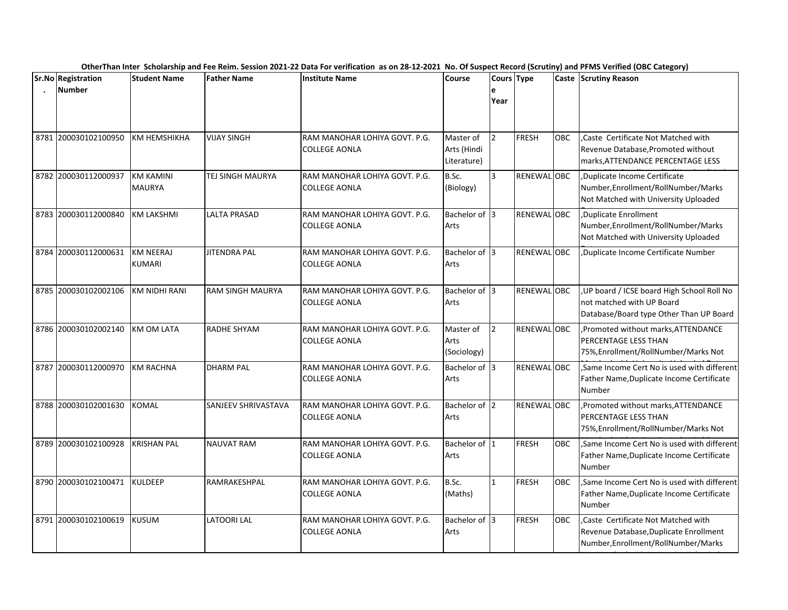|      | Sr.No Registration   | <b>Student Name</b>               | <b>Father Name</b>      | <b>Institute Name</b>                                 | <b>Course</b>                           | Cours Type     |                    |            | . <i>. .</i><br>Caste Scrutiny Reason                                                                                |
|------|----------------------|-----------------------------------|-------------------------|-------------------------------------------------------|-----------------------------------------|----------------|--------------------|------------|----------------------------------------------------------------------------------------------------------------------|
|      | <b>Number</b>        |                                   |                         |                                                       |                                         | e<br>Year      |                    |            |                                                                                                                      |
| 8781 | 200030102100950      | KM HEMSHIKHA                      | <b>VIJAY SINGH</b>      | RAM MANOHAR LOHIYA GOVT. P.G.<br><b>COLLEGE AONLA</b> | Master of<br>Arts (Hindi<br>Literature) | $\overline{2}$ | <b>FRESH</b>       | <b>OBC</b> | Caste Certificate Not Matched with<br>Revenue Database, Promoted without<br>marks, ATTENDANCE PERCENTAGE LESS        |
| 8782 | 200030112000937      | <b>KM KAMINI</b><br><b>MAURYA</b> | TEJ SINGH MAURYA        | RAM MANOHAR LOHIYA GOVT. P.G.<br>COLLEGE AONLA        | B.Sc.<br>(Biology)                      | 3              | RENEWAL OBC        |            | Duplicate Income Certificate<br>Number, Enrollment/RollNumber/Marks<br>Not Matched with University Uploaded          |
|      | 8783 200030112000840 | <b>KM LAKSHMI</b>                 | <b>LALTA PRASAD</b>     | RAM MANOHAR LOHIYA GOVT. P.G.<br>COLLEGE AONLA        | Bachelor of 3<br>Arts                   |                | <b>RENEWAL OBC</b> |            | Duplicate Enrollment<br>Number, Enrollment/RollNumber/Marks<br>Not Matched with University Uploaded                  |
|      | 8784 200030112000631 | <b>KM NEERAJ</b><br><b>KUMARI</b> | <b>JITENDRA PAL</b>     | RAM MANOHAR LOHIYA GOVT. P.G.<br><b>COLLEGE AONLA</b> | Bachelor of 3<br>Arts                   |                | RENEWAL OBC        |            | Duplicate Income Certificate Number,                                                                                 |
|      | 8785 200030102002106 | <b>KM NIDHI RANI</b>              | <b>RAM SINGH MAURYA</b> | RAM MANOHAR LOHIYA GOVT. P.G.<br><b>COLLEGE AONLA</b> | Bachelor of 13<br>Arts                  |                | RENEWAL OBC        |            | UP board / ICSE board High School Roll No<br>not matched with UP Board<br>Database/Board type Other Than UP Board    |
|      | 8786 200030102002140 | <b>KM OM LATA</b>                 | <b>RADHE SHYAM</b>      | RAM MANOHAR LOHIYA GOVT. P.G.<br><b>COLLEGE AONLA</b> | Master of<br>Arts<br>(Sociology)        | $\overline{2}$ | RENEWAL OBC        |            | ,Promoted without marks, ATTENDANCE<br><b>PERCENTAGE LESS THAN</b><br>75%, Enrollment/RollNumber/Marks Not           |
| 8787 | 200030112000970      | <b>KM RACHNA</b>                  | <b>DHARM PAL</b>        | RAM MANOHAR LOHIYA GOVT. P.G.<br><b>COLLEGE AONLA</b> | Bachelor of 3<br>Arts                   |                | RENEWAL OBC        |            | Same Income Cert No is used with different<br>Father Name, Duplicate Income Certificate<br>Number                    |
|      | 8788 200030102001630 | <b>KOMAL</b>                      | SANJEEV SHRIVASTAVA     | RAM MANOHAR LOHIYA GOVT. P.G.<br><b>COLLEGE AONLA</b> | Bachelor of 2<br>Arts                   |                | RENEWAL OBC        |            | Promoted without marks, ATTENDANCE<br>PERCENTAGE LESS THAN<br>75%, Enrollment/RollNumber/Marks Not                   |
|      | 8789 200030102100928 | <b>KRISHAN PAL</b>                | <b>NAUVAT RAM</b>       | RAM MANOHAR LOHIYA GOVT. P.G.<br><b>COLLEGE AONLA</b> | Bachelor of 1<br>Arts                   |                | <b>FRESH</b>       | OBC        | Same Income Cert No is used with different<br>Father Name, Duplicate Income Certificate<br>Number                    |
|      | 8790 200030102100471 | <b>KULDEEP</b>                    | RAMRAKESHPAL            | RAM MANOHAR LOHIYA GOVT. P.G.<br><b>COLLEGE AONLA</b> | B.Sc.<br>(Maths)                        | $\mathbf{1}$   | <b>FRESH</b>       | <b>OBC</b> | ,Same Income Cert No is used with different<br>Father Name, Duplicate Income Certificate<br>Number                   |
|      | 8791 200030102100619 | <b>KUSUM</b>                      | <b>LATOORI LAL</b>      | RAM MANOHAR LOHIYA GOVT. P.G.<br><b>COLLEGE AONLA</b> | Bachelor of 3<br>Arts                   |                | <b>FRESH</b>       | <b>OBC</b> | ,Caste Certificate Not Matched with<br>Revenue Database, Duplicate Enrollment<br>Number, Enrollment/RollNumber/Marks |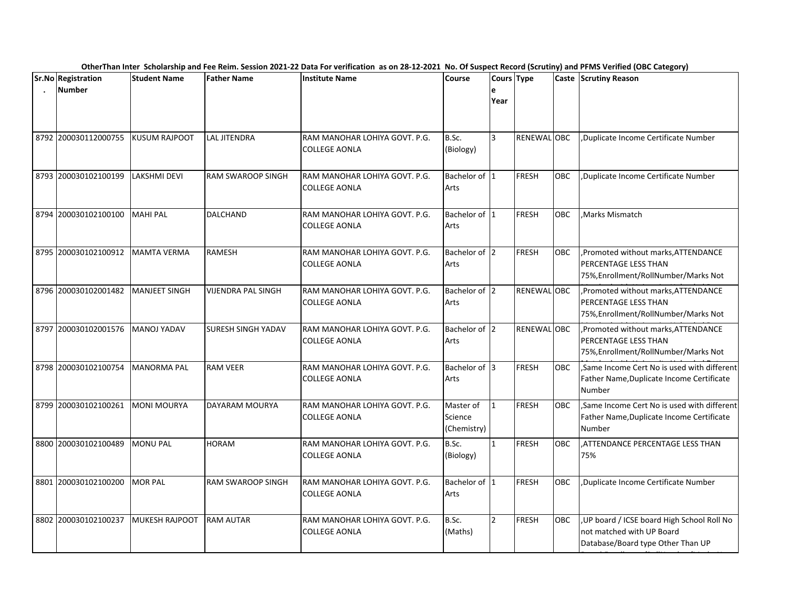| <b>Sr.No Registration</b> | <b>Student Name</b>  | <b>Father Name</b>        | <b>Institute Name</b>                                 | Course                              | Cours Type     |              |            | Caste Scrutiny Reason                                                                                       |
|---------------------------|----------------------|---------------------------|-------------------------------------------------------|-------------------------------------|----------------|--------------|------------|-------------------------------------------------------------------------------------------------------------|
| <b>Number</b>             |                      |                           |                                                       |                                     | е<br>Year      |              |            |                                                                                                             |
| 8792 200030112000755      | KUSUM RAJPOOT        | <b>LAL JITENDRA</b>       | RAM MANOHAR LOHIYA GOVT. P.G.<br>COLLEGE AONLA        | B.Sc.<br>(Biology)                  | 3              | RENEWAL OBC  |            | Duplicate Income Certificate Number                                                                         |
| 8793 200030102100199      | <b>LAKSHMI DEVI</b>  | <b>RAM SWAROOP SINGH</b>  | RAM MANOHAR LOHIYA GOVT. P.G.<br><b>COLLEGE AONLA</b> | Bachelor of 1<br>Arts               |                | <b>FRESH</b> | <b>OBC</b> | Duplicate Income Certificate Number                                                                         |
| 8794 200030102100100      | <b>MAHI PAL</b>      | DALCHAND                  | RAM MANOHAR LOHIYA GOVT. P.G.<br><b>COLLEGE AONLA</b> | Bachelor of 1<br>Arts               |                | <b>FRESH</b> | <b>OBC</b> | Marks Mismatch.                                                                                             |
| 8795 200030102100912      | <b>MAMTA VERMA</b>   | <b>RAMESH</b>             | RAM MANOHAR LOHIYA GOVT. P.G.<br><b>COLLEGE AONLA</b> | Bachelor of 2<br>Arts               |                | <b>FRESH</b> | <b>OBC</b> | , Promoted without marks, ATTENDANCE<br>PERCENTAGE LESS THAN<br>75%, Enrollment/RollNumber/Marks Not        |
| 8796 200030102001482      | <b>MANJEET SINGH</b> | <b>VIJENDRA PAL SINGH</b> | RAM MANOHAR LOHIYA GOVT. P.G.<br><b>COLLEGE AONLA</b> | Bachelor of 2<br>Arts               |                | RENEWAL OBC  |            | Promoted without marks, ATTENDANCE<br>PERCENTAGE LESS THAN<br>75%, Enrollment/RollNumber/Marks Not          |
| 8797 200030102001576      | <b>MANOJ YADAV</b>   | <b>SURESH SINGH YADAV</b> | RAM MANOHAR LOHIYA GOVT. P.G.<br><b>COLLEGE AONLA</b> | Bachelor of 2<br>Arts               |                | RENEWAL OBC  |            | Promoted without marks, ATTENDANCE<br><b>PERCENTAGE LESS THAN</b><br>75%, Enrollment/RollNumber/Marks Not   |
| 8798 200030102100754      | <b>MANORMA PAL</b>   | <b>RAM VEER</b>           | RAM MANOHAR LOHIYA GOVT. P.G.<br><b>COLLEGE AONLA</b> | Bachelor of 3<br>Arts               |                | <b>FRESH</b> | <b>OBC</b> | Same Income Cert No is used with different<br>Father Name, Duplicate Income Certificate<br>Number           |
| 8799 200030102100261      | <b>MONI MOURYA</b>   | DAYARAM MOURYA            | RAM MANOHAR LOHIYA GOVT. P.G.<br><b>COLLEGE AONLA</b> | Master of<br>Science<br>(Chemistry) | 1              | <b>FRESH</b> | OBC        | ,Same Income Cert No is used with different<br>Father Name, Duplicate Income Certificate<br>Number          |
| 8800 200030102100489      | <b>MONU PAL</b>      | <b>HORAM</b>              | RAM MANOHAR LOHIYA GOVT. P.G.<br>COLLEGE AONLA        | B.Sc.<br>(Biology)                  | $\mathbf{1}$   | <b>FRESH</b> | <b>OBC</b> | .ATTENDANCE PERCENTAGE LESS THAN<br>75%                                                                     |
| 8801 200030102100200      | <b>MOR PAL</b>       | RAM SWAROOP SINGH         | RAM MANOHAR LOHIYA GOVT. P.G.<br><b>COLLEGE AONLA</b> | Bachelor of 1<br>Arts               |                | <b>FRESH</b> | <b>OBC</b> | Duplicate Income Certificate Number,                                                                        |
| 8802 200030102100237      | MUKESH RAJPOOT       | <b>RAM AUTAR</b>          | RAM MANOHAR LOHIYA GOVT. P.G.<br><b>COLLEGE AONLA</b> | B.Sc.<br>(Maths)                    | $\overline{2}$ | <b>FRESH</b> | OBC        | UP board / ICSE board High School Roll No<br>not matched with UP Board<br>Database/Board type Other Than UP |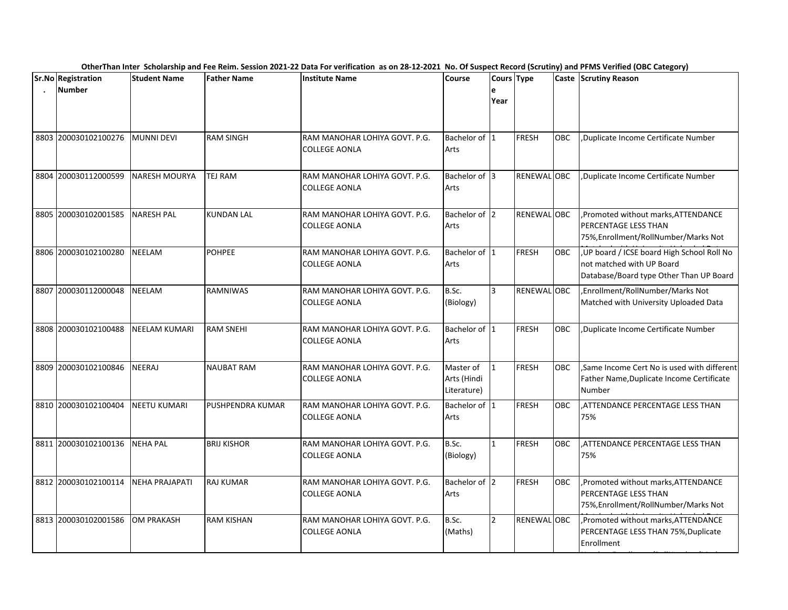|      | OtherThan Inter Scholarship and Fee Reim. Session 2021-22 Data For verification as on 28-12-2021 No. Of Suspect Record (Scrutiny) and PFMS Verified (OBC Category) |                       |                         |                                                       |                                         |                |                    |            |                                                                                                                     |  |  |  |
|------|--------------------------------------------------------------------------------------------------------------------------------------------------------------------|-----------------------|-------------------------|-------------------------------------------------------|-----------------------------------------|----------------|--------------------|------------|---------------------------------------------------------------------------------------------------------------------|--|--|--|
|      | <b>Sr.No Registration</b><br><b>Number</b>                                                                                                                         | <b>Student Name</b>   | <b>Father Name</b>      | <b>Institute Name</b>                                 | Course                                  | e<br>Year      | Cours Type         |            | Caste Scrutiny Reason                                                                                               |  |  |  |
|      | 8803 200030102100276                                                                                                                                               | <b>MUNNI DEVI</b>     | <b>RAM SINGH</b>        | RAM MANOHAR LOHIYA GOVT. P.G.<br>COLLEGE AONLA        | Bachelor of 1<br>Arts                   |                | <b>FRESH</b>       | <b>OBC</b> | Duplicate Income Certificate Number                                                                                 |  |  |  |
|      | 8804 200030112000599                                                                                                                                               | NARESH MOURYA         | TEJ RAM                 | RAM MANOHAR LOHIYA GOVT. P.G.<br><b>COLLEGE AONLA</b> | Bachelor of 13<br>Arts                  |                | <b>RENEWAL OBC</b> |            | Duplicate Income Certificate Number,                                                                                |  |  |  |
|      | 8805 200030102001585                                                                                                                                               | <b>NARESH PAL</b>     | <b>KUNDAN LAL</b>       | RAM MANOHAR LOHIYA GOVT. P.G.<br><b>COLLEGE AONLA</b> | Bachelor of 2<br>Arts                   |                | RENEWAL OBC        |            | ,Promoted without marks, ATTENDANCE<br><b>PERCENTAGE LESS THAN</b><br>75%, Enrollment/RollNumber/Marks Not          |  |  |  |
|      | 8806 200030102100280                                                                                                                                               | <b>NEELAM</b>         | <b>POHPEE</b>           | RAM MANOHAR LOHIYA GOVT. P.G.<br><b>COLLEGE AONLA</b> | Bachelor of 1<br>Arts                   |                | <b>FRESH</b>       | <b>OBC</b> | , UP board / ICSE board High School Roll No<br>not matched with UP Board<br>Database/Board type Other Than UP Board |  |  |  |
| 8807 | 200030112000048                                                                                                                                                    | <b>NEELAM</b>         | <b>RAMNIWAS</b>         | RAM MANOHAR LOHIYA GOVT. P.G.<br>COLLEGE AONLA        | B.Sc.<br>(Biology)                      | $\overline{3}$ | <b>RENEWAL OBC</b> |            | ,Enrollment/RollNumber/Marks Not<br>Matched with University Uploaded Data                                           |  |  |  |
|      | 8808 200030102100488                                                                                                                                               | <b>NEELAM KUMARI</b>  | <b>RAM SNEHI</b>        | RAM MANOHAR LOHIYA GOVT. P.G.<br><b>COLLEGE AONLA</b> | Bachelor of 1<br>Arts                   |                | FRESH              | OBC        | ,Duplicate Income Certificate Number                                                                                |  |  |  |
|      | 8809 200030102100846                                                                                                                                               | <b>NEERAJ</b>         | <b>NAUBAT RAM</b>       | RAM MANOHAR LOHIYA GOVT. P.G.<br><b>COLLEGE AONLA</b> | Master of<br>Arts (Hindi<br>Literature) | $\mathbf{1}$   | <b>FRESH</b>       | <b>OBC</b> | Same Income Cert No is used with different<br>Father Name, Duplicate Income Certificate<br><b>Number</b>            |  |  |  |
|      | 8810 200030102100404                                                                                                                                               | <b>NEETU KUMARI</b>   | <b>PUSHPENDRA KUMAR</b> | RAM MANOHAR LOHIYA GOVT. P.G.<br><b>COLLEGE AONLA</b> | Bachelor of 1<br>Arts                   |                | <b>FRESH</b>       | <b>OBC</b> | .ATTENDANCE PERCENTAGE LESS THAN<br>75%                                                                             |  |  |  |
|      | 8811 200030102100136                                                                                                                                               | <b>NEHA PAL</b>       | <b>BRIJ KISHOR</b>      | RAM MANOHAR LOHIYA GOVT. P.G.<br><b>COLLEGE AONLA</b> | B.Sc.<br>(Biology)                      | $\mathbf{1}$   | <b>FRESH</b>       | <b>OBC</b> | ATTENDANCE PERCENTAGE LESS THAN.<br>75%                                                                             |  |  |  |
|      | 8812 200030102100114                                                                                                                                               | <b>NEHA PRAJAPATI</b> | <b>RAJ KUMAR</b>        | RAM MANOHAR LOHIYA GOVT. P.G.<br>COLLEGE AONLA        | Bachelor of 2<br>Arts                   |                | <b>FRESH</b>       | OBC        | ,Promoted without marks, ATTENDANCE<br><b>PERCENTAGE LESS THAN</b><br>75%, Enrollment/RollNumber/Marks Not          |  |  |  |
|      | 8813 200030102001586                                                                                                                                               | <b>OM PRAKASH</b>     | <b>RAM KISHAN</b>       | RAM MANOHAR LOHIYA GOVT. P.G.<br><b>COLLEGE AONLA</b> | B.Sc.<br>(Maths)                        | $\overline{2}$ | RENEWAL OBC        |            | Promoted without marks, ATTENDANCE<br>PERCENTAGE LESS THAN 75%, Duplicate<br>Enrollment                             |  |  |  |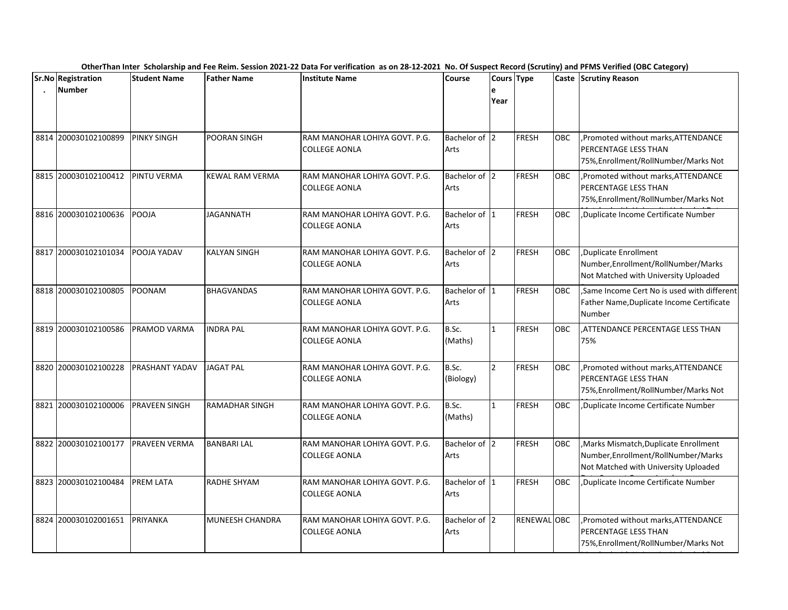|      | <b>Sr.No Registration</b> | <b>Student Name</b> | <b>Father Name</b>     | <b>Institute Name</b>                                 | <b>Course</b>         | Cours Type     |              |            | Caste Scrutiny Reason                                                                                                 |
|------|---------------------------|---------------------|------------------------|-------------------------------------------------------|-----------------------|----------------|--------------|------------|-----------------------------------------------------------------------------------------------------------------------|
|      | <b>Number</b>             |                     |                        |                                                       |                       | e<br>Year      |              |            |                                                                                                                       |
|      | 8814 200030102100899      | <b>PINKY SINGH</b>  | POORAN SINGH           | RAM MANOHAR LOHIYA GOVT. P.G.<br>COLLEGE AONLA        | Bachelor of 2<br>Arts |                | <b>FRESH</b> | OBC        | ,Promoted without marks, ATTENDANCE<br>PERCENTAGE LESS THAN<br>75%, Enrollment/RollNumber/Marks Not                   |
|      | 8815 200030102100412      | PINTU VERMA         | <b>KEWAL RAM VERMA</b> | RAM MANOHAR LOHIYA GOVT. P.G.<br>COLLEGE AONLA        | Bachelor of 2<br>Arts |                | <b>FRESH</b> | <b>OBC</b> | , Promoted without marks, ATTENDANCE<br>PERCENTAGE LESS THAN<br>75%, Enrollment/RollNumber/Marks Not                  |
|      | 8816 200030102100636      | POOJA               | <b>JAGANNATH</b>       | RAM MANOHAR LOHIYA GOVT. P.G.<br><b>COLLEGE AONLA</b> | Bachelor of 1<br>Arts |                | <b>FRESH</b> | <b>OBC</b> | Duplicate Income Certificate Number,                                                                                  |
|      | 8817 200030102101034      | POOJA YADAV         | <b>KALYAN SINGH</b>    | RAM MANOHAR LOHIYA GOVT. P.G.<br><b>COLLEGE AONLA</b> | Bachelor of 2<br>Arts |                | <b>FRESH</b> | OBC        | ,Duplicate Enrollment<br>Number, Enrollment/RollNumber/Marks<br>Not Matched with University Uploaded                  |
|      | 8818 200030102100805      | POONAM              | <b>BHAGVANDAS</b>      | RAM MANOHAR LOHIYA GOVT. P.G.<br><b>COLLEGE AONLA</b> | Bachelor of 1<br>Arts |                | <b>FRESH</b> | <b>OBC</b> | Same Income Cert No is used with different<br>Father Name, Duplicate Income Certificate<br>Number                     |
|      | 8819 200030102100586      | PRAMOD VARMA        | <b>INDRA PAL</b>       | RAM MANOHAR LOHIYA GOVT. P.G.<br><b>COLLEGE AONLA</b> | B.Sc.<br>(Maths)      | $\mathbf{1}$   | <b>FRESH</b> | <b>OBC</b> | ,ATTENDANCE PERCENTAGE LESS THAN<br>75%                                                                               |
| 8820 | 200030102100228           | PRASHANT YADAV      | <b>JAGAT PAL</b>       | RAM MANOHAR LOHIYA GOVT. P.G.<br><b>COLLEGE AONLA</b> | B.Sc.<br>(Biology)    | $\overline{2}$ | <b>FRESH</b> | OBC        | Promoted without marks, ATTENDANCE<br><b>PERCENTAGE LESS THAN</b><br>75%, Enrollment/RollNumber/Marks Not             |
| 8821 | 200030102100006           | PRAVEEN SINGH       | <b>RAMADHAR SINGH</b>  | RAM MANOHAR LOHIYA GOVT. P.G.<br><b>COLLEGE AONLA</b> | B.Sc.<br>(Maths)      | $\mathbf{1}$   | <b>FRESH</b> | <b>OBC</b> | Duplicate Income Certificate Number                                                                                   |
|      | 8822 200030102100177      | PRAVEEN VERMA       | <b>BANBARI LAL</b>     | RAM MANOHAR LOHIYA GOVT. P.G.<br><b>COLLEGE AONLA</b> | Bachelor of 2<br>Arts |                | <b>FRESH</b> | OBC        | , Marks Mismatch, Duplicate Enrollment<br>Number, Enrollment/RollNumber/Marks<br>Not Matched with University Uploaded |
|      | 8823 200030102100484      | PREM LATA           | RADHE SHYAM            | RAM MANOHAR LOHIYA GOVT. P.G.<br><b>COLLEGE AONLA</b> | Bachelor of 1<br>Arts |                | <b>FRESH</b> | <b>OBC</b> | Duplicate Income Certificate Number                                                                                   |
|      | 8824 200030102001651      | PRIYANKA            | MUNEESH CHANDRA        | RAM MANOHAR LOHIYA GOVT. P.G.<br><b>COLLEGE AONLA</b> | Bachelor of 2<br>Arts |                | RENEWAL OBC  |            | ,Promoted without marks, ATTENDANCE<br><b>PERCENTAGE LESS THAN</b><br>75%, Enrollment/RollNumber/Marks Not            |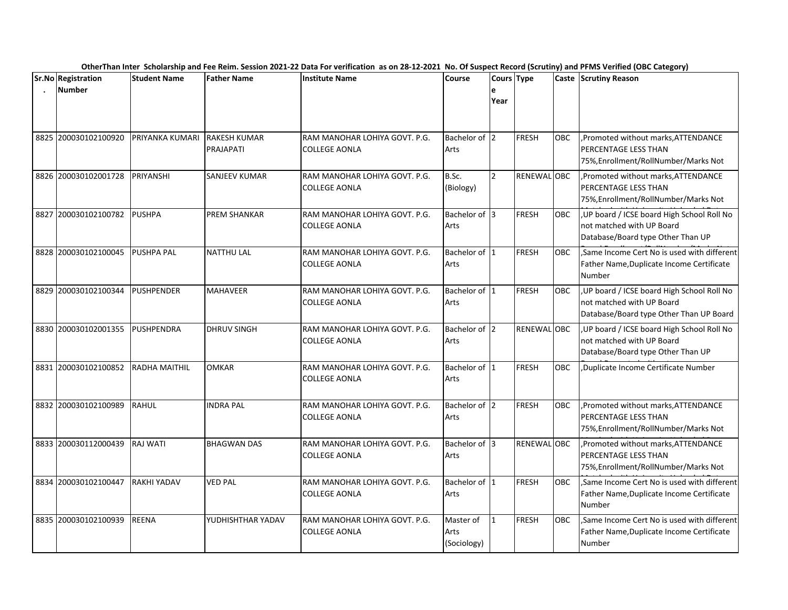|      | Sr.No Registration   | <b>Student Name</b>  | <b>Father Name</b>               | <b>Institute Name</b>                                 | Course                           | Cours Type     |              |            | -- <i>----</i> 0-77<br>Caste Scrutiny Reason                                                                      |
|------|----------------------|----------------------|----------------------------------|-------------------------------------------------------|----------------------------------|----------------|--------------|------------|-------------------------------------------------------------------------------------------------------------------|
|      | <b>Number</b>        |                      |                                  |                                                       |                                  | e<br>Year      |              |            |                                                                                                                   |
|      | 8825 200030102100920 | PRIYANKA KUMARI      | <b>RAKESH KUMAR</b><br>PRAJAPATI | RAM MANOHAR LOHIYA GOVT. P.G.<br><b>COLLEGE AONLA</b> | Bachelor of 2<br>Arts            |                | <b>FRESH</b> | OBC        | , Promoted without marks, ATTENDANCE<br><b>PERCENTAGE LESS THAN</b><br>75%, Enrollment/RollNumber/Marks Not       |
|      | 8826 200030102001728 | PRIYANSHI            | SANJEEV KUMAR                    | RAM MANOHAR LOHIYA GOVT. P.G.<br><b>COLLEGE AONLA</b> | B.Sc.<br>(Biology)               | $\overline{2}$ | RENEWAL OBC  |            | , Promoted without marks, ATTENDANCE<br><b>PERCENTAGE LESS THAN</b><br>75%, Enrollment/RollNumber/Marks Not       |
| 8827 | 200030102100782      | <b>PUSHPA</b>        | PREM SHANKAR                     | RAM MANOHAR LOHIYA GOVT. P.G.<br><b>COLLEGE AONLA</b> | Bachelor of 3<br>Arts            |                | <b>FRESH</b> | <b>OBC</b> | , UP board / ICSE board High School Roll No<br>not matched with UP Board<br>Database/Board type Other Than UP     |
|      | 8828 200030102100045 | <b>PUSHPA PAL</b>    | <b>NATTHU LAL</b>                | RAM MANOHAR LOHIYA GOVT, P.G.<br>COLLEGE AONLA        | Bachelor of 1<br>Arts            |                | <b>FRESH</b> | <b>OBC</b> | Same Income Cert No is used with different<br>Father Name, Duplicate Income Certificate<br>Number                 |
|      | 8829 200030102100344 | <b>PUSHPENDER</b>    | <b>MAHAVEER</b>                  | RAM MANOHAR LOHIYA GOVT. P.G.<br><b>COLLEGE AONLA</b> | Bachelor of 1<br>Arts            |                | <b>FRESH</b> | <b>OBC</b> | UP board / ICSE board High School Roll No<br>not matched with UP Board<br>Database/Board type Other Than UP Board |
|      | 8830 200030102001355 | PUSHPENDRA           | <b>DHRUV SINGH</b>               | RAM MANOHAR LOHIYA GOVT. P.G.<br>COLLEGE AONLA        | Bachelor of 2<br>Arts            |                | RENEWAL OBC  |            | , UP board / ICSE board High School Roll No<br>not matched with UP Board<br>Database/Board type Other Than UP     |
|      | 8831 200030102100852 | <b>RADHA MAITHIL</b> | <b>OMKAR</b>                     | RAM MANOHAR LOHIYA GOVT. P.G.<br>COLLEGE AONLA        | Bachelor of 1<br>Arts            |                | <b>FRESH</b> | <b>OBC</b> | Duplicate Income Certificate Number                                                                               |
|      | 8832 200030102100989 | RAHUL                | <b>INDRA PAL</b>                 | RAM MANOHAR LOHIYA GOVT. P.G.<br><b>COLLEGE AONLA</b> | Bachelor of 2<br>Arts            |                | <b>FRESH</b> | <b>OBC</b> | Promoted without marks, ATTENDANCE<br><b>PERCENTAGE LESS THAN</b><br>75%, Enrollment/RollNumber/Marks Not         |
|      | 8833 200030112000439 | <b>RAJ WATI</b>      | <b>BHAGWAN DAS</b>               | RAM MANOHAR LOHIYA GOVT. P.G.<br><b>COLLEGE AONLA</b> | Bachelor of 3<br>Arts            |                | RENEWAL OBC  |            | Promoted without marks, ATTENDANCE<br><b>PERCENTAGE LESS THAN</b><br>75%, Enrollment/RollNumber/Marks Not         |
| 8834 | 200030102100447      | <b>RAKHI YADAV</b>   | <b>VED PAL</b>                   | RAM MANOHAR LOHIYA GOVT. P.G.<br><b>COLLEGE AONLA</b> | Bachelor of 1<br>Arts            |                | <b>FRESH</b> | <b>OBC</b> | Same Income Cert No is used with different<br>Father Name, Duplicate Income Certificate<br><b>Number</b>          |
|      | 8835 200030102100939 | <b>REENA</b>         | YUDHISHTHAR YADAV                | RAM MANOHAR LOHIYA GOVT. P.G.<br><b>COLLEGE AONLA</b> | Master of<br>Arts<br>(Sociology) | $\mathbf{1}$   | <b>FRESH</b> | <b>OBC</b> | ,Same Income Cert No is used with different<br>Father Name, Duplicate Income Certificate<br><b>Number</b>         |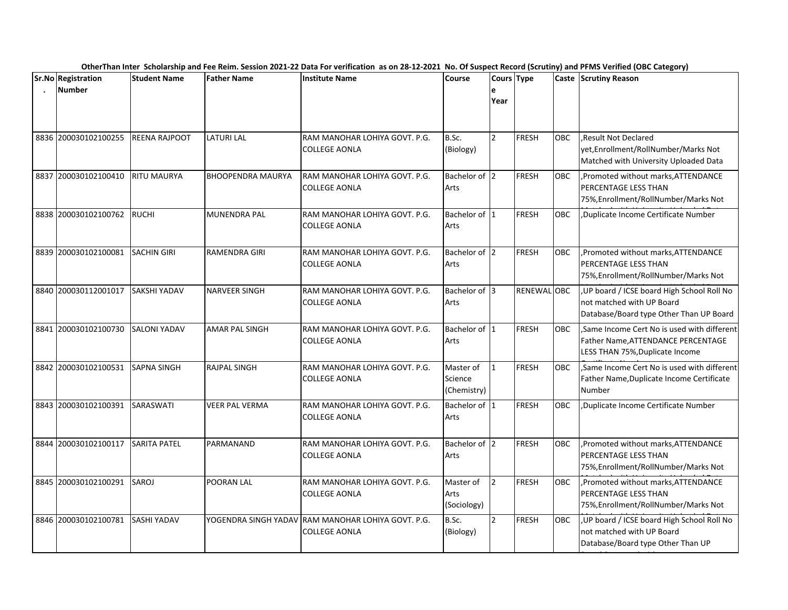|      | Sr.No Registration   | <b>Student Name</b> | <b>Father Name</b>       | <b>Institute Name</b>                                                      | <b>Course</b>                       | Cours Type     |              |            | . <i>. .</i><br>Caste Scrutiny Reason                                                                               |
|------|----------------------|---------------------|--------------------------|----------------------------------------------------------------------------|-------------------------------------|----------------|--------------|------------|---------------------------------------------------------------------------------------------------------------------|
|      | <b>Number</b>        |                     |                          |                                                                            |                                     | e<br>Year      |              |            |                                                                                                                     |
|      | 8836 200030102100255 | REENA RAJPOOT       | LATURI LAL               | RAM MANOHAR LOHIYA GOVT. P.G.<br><b>COLLEGE AONLA</b>                      | B.Sc.<br>(Biology)                  | $\overline{2}$ | <b>FRESH</b> | <b>OBC</b> | Result Not Declared<br>yet, Enrollment/RollNumber/Marks Not<br>Matched with University Uploaded Data                |
| 8837 | 200030102100410      | <b>RITU MAURYA</b>  | <b>BHOOPENDRA MAURYA</b> | RAM MANOHAR LOHIYA GOVT. P.G.<br>COLLEGE AONLA                             | Bachelor of 2<br>Arts               |                | <b>FRESH</b> | <b>OBC</b> | ,Promoted without marks, ATTENDANCE<br>PERCENTAGE LESS THAN<br>75%, Enrollment/RollNumber/Marks Not                 |
|      | 8838 200030102100762 | <b>RUCHI</b>        | <b>MUNENDRA PAL</b>      | RAM MANOHAR LOHIYA GOVT. P.G.<br><b>COLLEGE AONLA</b>                      | Bachelor of 1<br>Arts               |                | <b>FRESH</b> | <b>OBC</b> | Duplicate Income Certificate Number.                                                                                |
|      | 8839 200030102100081 | <b>SACHIN GIRI</b>  | RAMENDRA GIRI            | RAM MANOHAR LOHIYA GOVT. P.G.<br><b>COLLEGE AONLA</b>                      | Bachelor of 2<br>Arts               |                | <b>FRESH</b> | OBC        | , Promoted without marks, ATTENDANCE<br><b>PERCENTAGE LESS THAN</b><br>75%, Enrollment/RollNumber/Marks Not         |
|      | 8840 200030112001017 | <b>SAKSHI YADAV</b> | <b>NARVEER SINGH</b>     | RAM MANOHAR LOHIYA GOVT. P.G.<br><b>COLLEGE AONLA</b>                      | Bachelor of 3<br>Arts               |                | RENEWAL OBC  |            | UP board / ICSE board High School Roll No<br>not matched with UP Board<br>Database/Board type Other Than UP Board   |
| 8841 | 200030102100730      | <b>SALONI YADAV</b> | <b>AMAR PAL SINGH</b>    | RAM MANOHAR LOHIYA GOVT. P.G.<br><b>COLLEGE AONLA</b>                      | Bachelor of 1<br>Arts               |                | <b>FRESH</b> | OBC        | Same Income Cert No is used with different<br>Father Name, ATTENDANCE PERCENTAGE<br>LESS THAN 75%, Duplicate Income |
|      | 8842 200030102100531 | <b>SAPNA SINGH</b>  | <b>RAJPAL SINGH</b>      | RAM MANOHAR LOHIYA GOVT. P.G.<br><b>COLLEGE AONLA</b>                      | Master of<br>Science<br>(Chemistry) | $\mathbf{1}$   | <b>FRESH</b> | OBC        | Same Income Cert No is used with different<br>Father Name, Duplicate Income Certificate<br>Number                   |
|      | 8843 200030102100391 | SARASWATI           | <b>VEER PAL VERMA</b>    | RAM MANOHAR LOHIYA GOVT. P.G.<br><b>COLLEGE AONLA</b>                      | Bachelor of 1<br>Arts               |                | <b>FRESH</b> | OBC        | Duplicate Income Certificate Number                                                                                 |
| 8844 | 200030102100117      | <b>SARITA PATEL</b> | PARMANAND                | RAM MANOHAR LOHIYA GOVT. P.G.<br><b>COLLEGE AONLA</b>                      | Bachelor of 2<br>Arts               |                | <b>FRESH</b> | <b>OBC</b> | , Promoted without marks, ATTENDANCE<br><b>PERCENTAGE LESS THAN</b><br>75%, Enrollment/RollNumber/Marks Not         |
|      | 8845 200030102100291 | SAROJ               | POORAN LAL               | RAM MANOHAR LOHIYA GOVT. P.G.<br><b>COLLEGE AONLA</b>                      | Master of<br>Arts<br>(Sociology)    | $\overline{2}$ | <b>FRESH</b> | OBC        | ,Promoted without marks, ATTENDANCE<br><b>PERCENTAGE LESS THAN</b><br>75%, Enrollment/RollNumber/Marks Not          |
|      | 8846 200030102100781 | <b>SASHI YADAV</b>  |                          | YOGENDRA SINGH YADAV RAM MANOHAR LOHIYA GOVT. P.G.<br><b>COLLEGE AONLA</b> | B.Sc.<br>(Biology)                  | $\overline{2}$ | <b>FRESH</b> | OBC        | UP board / ICSE board High School Roll No<br>not matched with UP Board<br>Database/Board type Other Than UP         |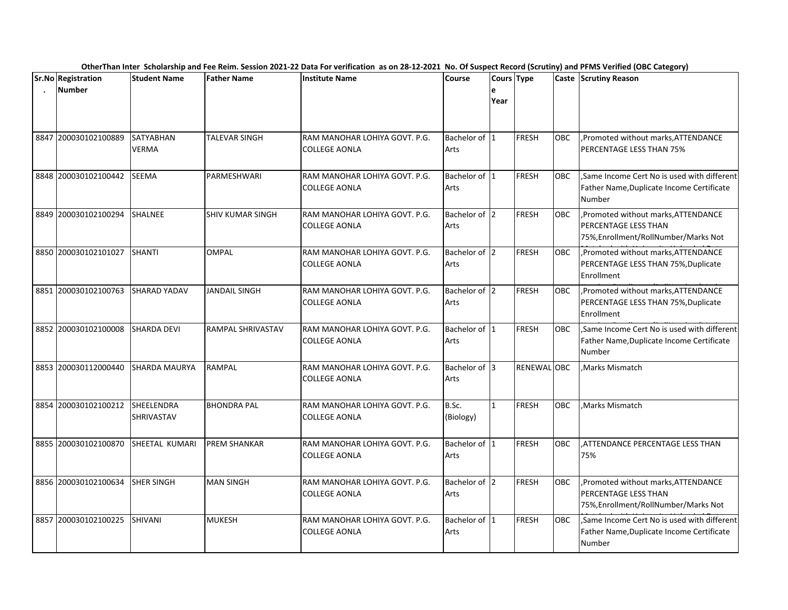|                                     |                           |                          | OtherThan Inter Scholarship and Fee Reim. Session 2021-22 Data For verification as on 28-12-2021 No. Of Suspect Record (Scrutiny) and PFMS Verified (OBC Category) |                        |              |              |            |                                                                                                             |
|-------------------------------------|---------------------------|--------------------------|--------------------------------------------------------------------------------------------------------------------------------------------------------------------|------------------------|--------------|--------------|------------|-------------------------------------------------------------------------------------------------------------|
| Sr.No Registration<br><b>Number</b> | <b>Student Name</b>       | <b>Father Name</b>       | <b>Institute Name</b>                                                                                                                                              | Course                 | e<br>Year    | Cours Type   |            | Caste Scrutiny Reason                                                                                       |
| 8847 200030102100889                | SATYABHAN<br><b>VERMA</b> | TALEVAR SINGH            | RAM MANOHAR LOHIYA GOVT. P.G.<br><b>COLLEGE AONLA</b>                                                                                                              | Bachelor of 1<br>Arts  |              | FRESH        | OBC        | ,Promoted without marks, ATTENDANCE<br><b>PERCENTAGE LESS THAN 75%</b>                                      |
| 8848 200030102100442                | SEEMA                     | PARMESHWARI              | RAM MANOHAR LOHIYA GOVT. P.G.<br><b>COLLEGE AONLA</b>                                                                                                              | Bachelor of 1<br>Arts  |              | FRESH        | <b>OBC</b> | Same Income Cert No is used with different<br>Father Name, Duplicate Income Certificate<br>Number           |
| 8849 200030102100294                | <b>SHALNEE</b>            | <b>SHIV KUMAR SINGH</b>  | RAM MANOHAR LOHIYA GOVT. P.G.<br><b>COLLEGE AONLA</b>                                                                                                              | Bachelor of 2<br>Arts  |              | FRESH        | <b>OBC</b> | , Promoted without marks, ATTENDANCE<br><b>PERCENTAGE LESS THAN</b><br>75%, Enrollment/RollNumber/Marks Not |
| 8850 200030102101027                | <b>SHANTI</b>             | OMPAL                    | RAM MANOHAR LOHIYA GOVT. P.G.<br>COLLEGE AONLA                                                                                                                     | Bachelor of 2<br>Arts  |              | FRESH        | <b>OBC</b> | Promoted without marks, ATTENDANCE<br>PERCENTAGE LESS THAN 75%, Duplicate<br>Enrollment                     |
| 8851 200030102100763                | SHARAD YADAV              | <b>JANDAIL SINGH</b>     | RAM MANOHAR LOHIYA GOVT. P.G.<br>COLLEGE AONLA                                                                                                                     | Bachelor of 2<br>Arts  |              | FRESH        | OBC        | , Promoted without marks, ATTENDANCE<br>PERCENTAGE LESS THAN 75%, Duplicate<br>Enrollment                   |
| 8852 200030102100008                | <b>SHARDA DEVI</b>        | <b>RAMPAL SHRIVASTAV</b> | RAM MANOHAR LOHIYA GOVT. P.G.<br><b>COLLEGE AONLA</b>                                                                                                              | Bachelor of 1<br>Arts  |              | <b>FRESH</b> | <b>OBC</b> | Same Income Cert No is used with different<br>Father Name, Duplicate Income Certificate<br><b>Number</b>    |
| 8853 200030112000440                | <b>SHARDA MAURYA</b>      | <b>RAMPAL</b>            | RAM MANOHAR LOHIYA GOVT. P.G.<br><b>COLLEGE AONLA</b>                                                                                                              | Bachelor of 13<br>Arts |              | RENEWAL OBC  |            | .Marks Mismatch                                                                                             |
| 8854 200030102100212                | SHEELENDRA<br>SHRIVASTAV  | <b>BHONDRA PAL</b>       | RAM MANOHAR LOHIYA GOVT. P.G.<br>COLLEGE AONLA                                                                                                                     | B.Sc.<br>(Biology)     | $\mathbf{1}$ | FRESH        | <b>OBC</b> | Marks Mismatch                                                                                              |
| 8855 200030102100870                | <b>SHEETAL KUMARI</b>     | <b>PREM SHANKAR</b>      | RAM MANOHAR LOHIYA GOVT. P.G.<br><b>COLLEGE AONLA</b>                                                                                                              | Bachelor of 1<br>Arts  |              | <b>FRESH</b> | <b>OBC</b> | .ATTENDANCE PERCENTAGE LESS THAN<br>75%                                                                     |
| 8856 200030102100634                | <b>SHER SINGH</b>         | <b>MAN SINGH</b>         | RAM MANOHAR LOHIYA GOVT. P.G.<br><b>COLLEGE AONLA</b>                                                                                                              | Bachelor of 2<br>Arts  |              | FRESH        | <b>OBC</b> | Promoted without marks, ATTENDANCE<br><b>PERCENTAGE LESS THAN</b><br>75%, Enrollment/RollNumber/Marks Not   |
| 8857 200030102100225                | SHIVANI                   | <b>MUKESH</b>            | RAM MANOHAR LOHIYA GOVT. P.G.<br><b>COLLEGE AONLA</b>                                                                                                              | Bachelor of 1<br>Arts  |              | FRESH        | OBC        | Same Income Cert No is used with different<br>Father Name, Duplicate Income Certificate<br>Number           |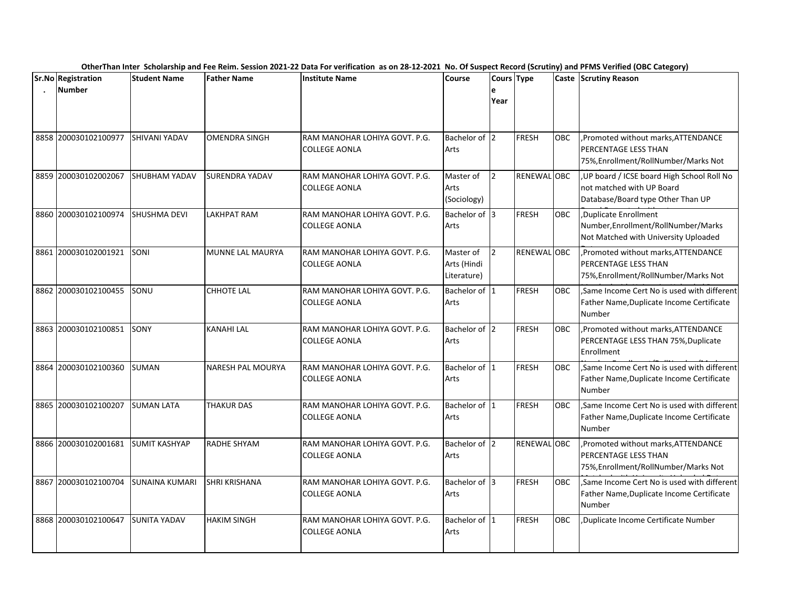|      | Sr.No Registration   | <b>Student Name</b>   | <b>Father Name</b>    | <b>Institute Name</b>                                 | <b>Course</b>                           | Cours Type     |              |            | Caste Scrutiny Reason                                                                                       |
|------|----------------------|-----------------------|-----------------------|-------------------------------------------------------|-----------------------------------------|----------------|--------------|------------|-------------------------------------------------------------------------------------------------------------|
|      | <b>Number</b>        |                       |                       |                                                       |                                         | e<br>Year      |              |            |                                                                                                             |
|      | 8858 200030102100977 | SHIVANI YADAV         | <b>OMENDRA SINGH</b>  | RAM MANOHAR LOHIYA GOVT. P.G.<br><b>COLLEGE AONLA</b> | Bachelor of 2<br>Arts                   |                | <b>FRESH</b> | <b>OBC</b> | Promoted without marks, ATTENDANCE<br><b>PERCENTAGE LESS THAN</b><br>75%, Enrollment/RollNumber/Marks Not   |
|      | 8859 200030102002067 | SHUBHAM YADAV         | <b>SURENDRA YADAV</b> | RAM MANOHAR LOHIYA GOVT. P.G.<br><b>COLLEGE AONLA</b> | Master of<br>Arts<br>(Sociology)        | $\overline{2}$ | RENEWAL OBC  |            | UP board / ICSE board High School Roll No<br>not matched with UP Board<br>Database/Board type Other Than UP |
|      | 8860 200030102100974 | SHUSHMA DEVI          | LAKHPAT RAM           | RAM MANOHAR LOHIYA GOVT. P.G.<br><b>COLLEGE AONLA</b> | Bachelor of 3<br>Arts                   |                | <b>FRESH</b> | OBC        | ,Duplicate Enrollment<br>Number, Enrollment/RollNumber/Marks<br>Not Matched with University Uploaded        |
|      | 8861 200030102001921 | SONI                  | MUNNE LAL MAURYA      | RAM MANOHAR LOHIYA GOVT. P.G.<br><b>COLLEGE AONLA</b> | Master of<br>Arts (Hindi<br>Literature) | $\overline{2}$ | RENEWAL OBC  |            | ,Promoted without marks, ATTENDANCE<br><b>PERCENTAGE LESS THAN</b><br>75%, Enrollment/RollNumber/Marks Not  |
|      | 8862 200030102100455 | SONU                  | <b>CHHOTE LAL</b>     | RAM MANOHAR LOHIYA GOVT. P.G.<br>COLLEGE AONLA        | Bachelor of 1<br>Arts                   |                | <b>FRESH</b> | OBC        | ,Same Income Cert No is used with different<br>Father Name, Duplicate Income Certificate<br>Number          |
|      | 8863 200030102100851 | SONY                  | <b>KANAHI LAL</b>     | RAM MANOHAR LOHIYA GOVT. P.G.<br><b>COLLEGE AONLA</b> | Bachelor of 2<br>Arts                   |                | <b>FRESH</b> | <b>OBC</b> | Promoted without marks, ATTENDANCE<br>PERCENTAGE LESS THAN 75%, Duplicate<br>Enrollment                     |
|      | 8864 200030102100360 | SUMAN                 | NARESH PAL MOURYA     | RAM MANOHAR LOHIYA GOVT. P.G.<br><b>COLLEGE AONLA</b> | Bachelor of 1<br>Arts                   |                | <b>FRESH</b> | <b>OBC</b> | ,Same Income Cert No is used with different<br>Father Name, Duplicate Income Certificate<br>Number          |
|      | 8865 200030102100207 | <b>SUMAN LATA</b>     | <b>THAKUR DAS</b>     | RAM MANOHAR LOHIYA GOVT. P.G.<br><b>COLLEGE AONLA</b> | Bachelor of 1<br>Arts                   |                | <b>FRESH</b> | <b>OBC</b> | ,Same Income Cert No is used with different<br>Father Name, Duplicate Income Certificate<br>Number          |
|      | 8866 200030102001681 | <b>SUMIT KASHYAP</b>  | RADHE SHYAM           | RAM MANOHAR LOHIYA GOVT. P.G.<br>COLLEGE AONLA        | Bachelor of 2<br>Arts                   |                | RENEWAL OBC  |            | , Promoted without marks, ATTENDANCE<br><b>PERCENTAGE LESS THAN</b><br>75%, Enrollment/RollNumber/Marks Not |
| 8867 | 200030102100704      | <b>SUNAINA KUMARI</b> | <b>SHRI KRISHANA</b>  | RAM MANOHAR LOHIYA GOVT. P.G.<br><b>COLLEGE AONLA</b> | Bachelor of 3<br>Arts                   |                | <b>FRESH</b> | <b>OBC</b> | Same Income Cert No is used with different<br>Father Name, Duplicate Income Certificate<br><b>Number</b>    |
|      | 8868 200030102100647 | <b>SUNITA YADAV</b>   | <b>HAKIM SINGH</b>    | RAM MANOHAR LOHIYA GOVT. P.G.<br><b>COLLEGE AONLA</b> | Bachelor of 1<br>Arts                   |                | <b>FRESH</b> | <b>OBC</b> | ,Duplicate Income Certificate Number                                                                        |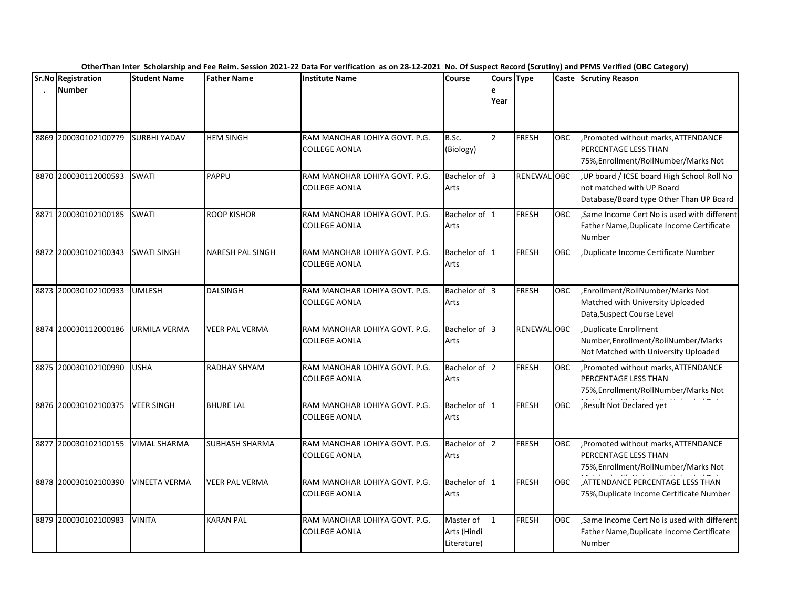| Sr.No Registration   | <b>Student Name</b>  | <b>Father Name</b>      | <b>Institute Name</b>                                 | Course                                  | Cours Type     |                    |            | Caste Scrutiny Reason                                                                                               |
|----------------------|----------------------|-------------------------|-------------------------------------------------------|-----------------------------------------|----------------|--------------------|------------|---------------------------------------------------------------------------------------------------------------------|
| <b>Number</b>        |                      |                         |                                                       |                                         | Year           |                    |            |                                                                                                                     |
| 8869 200030102100779 | <b>SURBHI YADAV</b>  | <b>HEM SINGH</b>        | RAM MANOHAR LOHIYA GOVT. P.G.<br>COLLEGE AONLA        | B.Sc.<br>(Biology)                      | $\overline{2}$ | FRESH              | OBC        | ,Promoted without marks, ATTENDANCE<br><b>PERCENTAGE LESS THAN</b><br>75%, Enrollment/RollNumber/Marks Not          |
| 8870 200030112000593 | <b>SWATI</b>         | <b>PAPPU</b>            | RAM MANOHAR LOHIYA GOVT. P.G.<br><b>COLLEGE AONLA</b> | Bachelor of 3<br>Arts                   |                | <b>RENEWAL OBC</b> |            | , UP board / ICSE board High School Roll No<br>not matched with UP Board<br>Database/Board type Other Than UP Board |
| 8871 200030102100185 | <b>SWATI</b>         | <b>ROOP KISHOR</b>      | RAM MANOHAR LOHIYA GOVT. P.G.<br><b>COLLEGE AONLA</b> | Bachelor of 1<br>Arts                   |                | FRESH              | <b>OBC</b> | Same Income Cert No is used with different<br>Father Name, Duplicate Income Certificate<br>Number                   |
| 8872 200030102100343 | <b>SWATI SINGH</b>   | <b>NARESH PAL SINGH</b> | RAM MANOHAR LOHIYA GOVT. P.G.<br><b>COLLEGE AONLA</b> | Bachelor of 1<br>Arts                   |                | <b>FRESH</b>       | OBC        | Duplicate Income Certificate Number                                                                                 |
| 8873 200030102100933 | <b>UMLESH</b>        | <b>DALSINGH</b>         | RAM MANOHAR LOHIYA GOVT. P.G.<br>COLLEGE AONLA        | Bachelor of 3<br>Arts                   |                | FRESH              | ОВС        | ,Enrollment/RollNumber/Marks Not<br>Matched with University Uploaded<br>Data, Suspect Course Level                  |
| 8874 200030112000186 | URMILA VERMA         | VEER PAL VERMA          | RAM MANOHAR LOHIYA GOVT. P.G.<br><b>COLLEGE AONLA</b> | Bachelor of 3<br>Arts                   |                | <b>RENEWAL OBC</b> |            | Duplicate Enrollment<br>Number, Enrollment/RollNumber/Marks<br>Not Matched with University Uploaded                 |
| 8875 200030102100990 | <b>USHA</b>          | RADHAY SHYAM            | RAM MANOHAR LOHIYA GOVT. P.G.<br><b>COLLEGE AONLA</b> | Bachelor of 2<br>Arts                   |                | FRESH              | <b>OBC</b> | ,Promoted without marks, ATTENDANCE<br><b>IPERCENTAGE LESS THAN</b><br>75%, Enrollment/RollNumber/Marks Not         |
| 8876 200030102100375 | <b>VEER SINGH</b>    | <b>BHURE LAL</b>        | RAM MANOHAR LOHIYA GOVT. P.G.<br><b>COLLEGE AONLA</b> | Bachelor of 1<br>Arts                   |                | <b>FRESH</b>       | OBC        | Result Not Declared yet                                                                                             |
| 8877 200030102100155 | <b>VIMAL SHARMA</b>  | <b>SUBHASH SHARMA</b>   | RAM MANOHAR LOHIYA GOVT. P.G.<br><b>COLLEGE AONLA</b> | Bachelor of 2<br>Arts                   |                | FRESH              | OBC        | ,Promoted without marks, ATTENDANCE<br><b>PERCENTAGE LESS THAN</b><br>75%, Enrollment/RollNumber/Marks Not          |
| 8878 200030102100390 | <b>VINEETA VERMA</b> | <b>VEER PAL VERMA</b>   | RAM MANOHAR LOHIYA GOVT. P.G.<br><b>COLLEGE AONLA</b> | Bachelor of 1<br>Arts                   |                | <b>FRESH</b>       | <b>OBC</b> | .ATTENDANCE PERCENTAGE LESS THAN<br>75%, Duplicate Income Certificate Number                                        |
| 8879 200030102100983 | <b>VINITA</b>        | <b>KARAN PAL</b>        | RAM MANOHAR LOHIYA GOVT. P.G.<br><b>COLLEGE AONLA</b> | Master of<br>Arts (Hindi<br>Literature) | $\overline{1}$ | FRESH              | OBC        | Same Income Cert No is used with different<br>Father Name, Duplicate Income Certificate<br>Number                   |